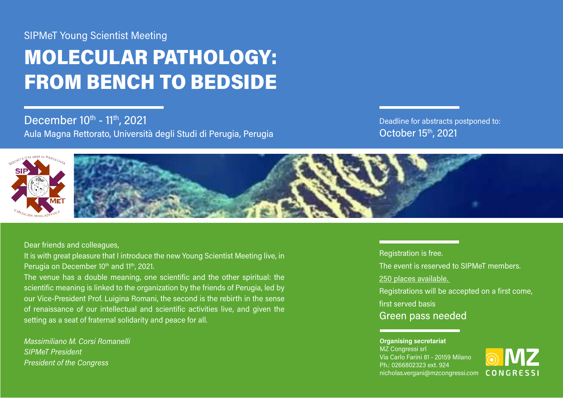## SIPMeT Young Scientist Meeting

# MOLECULAR PATHOLOGY: FROM BENCH TO BEDSIDE

December 10<sup>th</sup> - 11<sup>th</sup>, 2021 Aula Magna Rettorato, Università degli Studi di Perugia, Perugia

Deadline for abstracts postponed to: October 15th, 2021



### Dear friends and colleagues,

It is with great pleasure that I introduce the new Young Scientist Meeting live, in Perugia on December 10<sup>th</sup> and 11<sup>th</sup>, 2021.

The venue has a double meaning, one scientific and the other spiritual: the scientific meaning is linked to the organization by the friends of Perugia, led by our Vice-President Prof. Luigina Romani, the second is the rebirth in the sense of renaissance of our intellectual and scientific activities live, and given the setting as a seat of fraternal solidarity and peace for all.

*Massimiliano M. Corsi Romanelli SIPMeT President President of the Congress* 

#### Registration is free.

The event is reserved to SIPMeT members.

#### 250 places available.

Registrations will be accepted on a first come,

first served basis

## Green pass needed

#### **Organising secretariat**  MZ Congressi srl Via Carlo Farini 81 - 20159 Milano Ph.: 0266802323 ext. 924 nicholas.vergani@mzcongressi.com

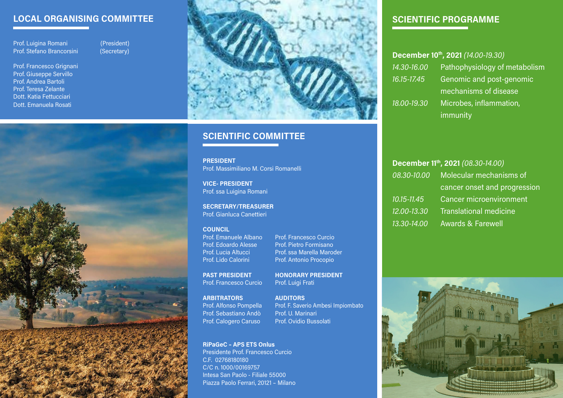## **LOCAL ORGANISING COMMITTEE**

Prof. Luigina Romani (President)<br>Prof. Stefano Brancorsini (Secretary) Prof. Stefano Brancorsini

Prof. Francesco Grignani Prof. Giuseppe Servillo Prof. Andrea Bartoli Prof. Teresa Zelante Dott. Katia Fettucciari Dott. Emanuela Rosati





## **SCIENTIFIC COMMITTEE**

**PRESIDENT** Prof. Massimiliano M. Corsi Romanelli

**VICE- PRESIDENT** Prof. ssa Luigina Romani

**SECRETARY/TREASURER** Prof. Gianluca Canettieri

#### **COUNCIL**

Prof. Emanuele Albano Prof. Francesco Curcio Prof. Edoardo Alesse Prof. Pietro Formisano Prof. Lucia Altucci Prof. ssa Marella Maroder Prof. Lido Calorini Prof. Antonio Procopio

**PAST PRESIDENT HONORARY PRESIDENT** Prof. Francesco Curcio Prof. Luigi Frati

**ARBITRATORS AUDITORS** Prof. Alfonso Pompella Prof. F. Saverio Ambesi Impiombato<br>Prof. Sebastiano Andò Prof. U. Marinari Prof. Sebastiano Andò Prof. Calogero Caruso Prof. Ovidio Bussolati

#### **RiPaGeC – APS ETS Onlus** Presidente Prof. Francesco Curcio

C.F. 02768180180 C/C n. 1000/00169757 Intesa San Paolo - Filiale 55000 Piazza Paolo Ferrari, 20121 – Milano

## **SCIENTIFIC PROGRAMME**

| December 10th, 2021 (14.00-19.30) |                    |                               |
|-----------------------------------|--------------------|-------------------------------|
|                                   | 14.30-16.00        | Pathophysiology of metabolism |
|                                   | <u>16.15-17.45</u> | Genomic and post-genomic      |
|                                   |                    | mechanisms of disease         |
|                                   | 18.00-19.30        | Microbes, inflammation,       |
|                                   |                    | immunity                      |

| December 11th, 2021 (08.30-14.00) |                                |  |
|-----------------------------------|--------------------------------|--|
| 08.30-10.00                       | Molecular mechanisms of        |  |
|                                   | cancer onset and progression   |  |
| $10.15 - 11.45$                   | <b>Cancer microenvironment</b> |  |
| 12.00-13.30                       | <b>Translational medicine</b>  |  |
| 13,30-14,00                       | <b>Awards &amp; Farewell</b>   |  |